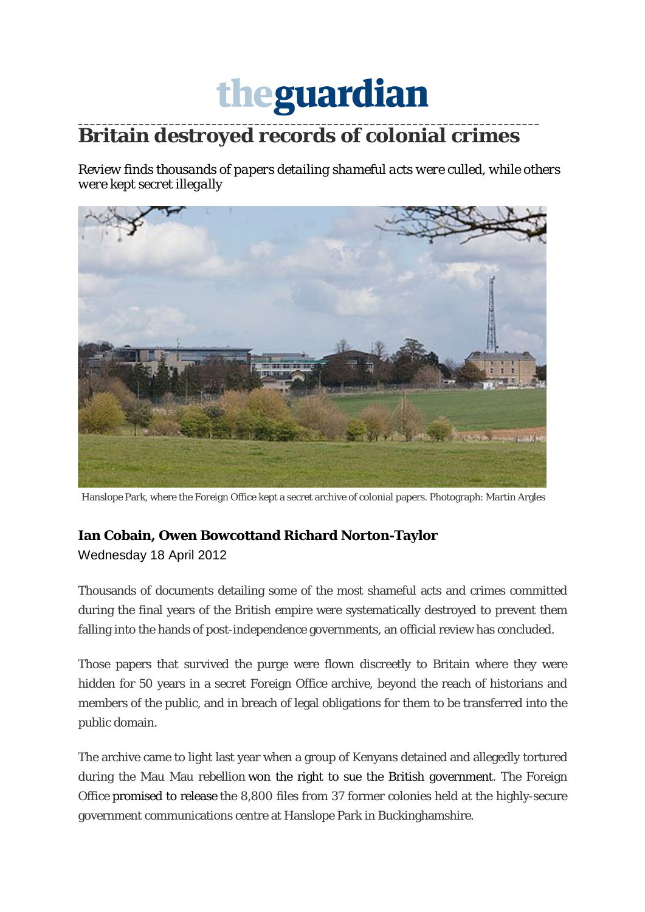## theguardian

## **\_\_\_\_\_\_\_\_\_\_\_\_\_\_\_\_\_\_\_\_\_\_\_\_\_\_\_\_\_\_\_\_\_\_\_\_\_\_\_\_\_\_\_\_\_\_\_\_\_\_\_\_\_\_\_\_\_\_\_\_\_\_\_\_\_\_\_\_\_\_\_\_\_\_\_\_ Britain destroyed records of colonial crimes**

*Review finds thousands of papers detailing shameful acts were culled, while others were kept secret illegally*



Hanslope Park, where the Foreign Office kept a secret archive of colonial papers. Photograph: Martin Argles

## **Ian Cobain, [Owen Bowcotta](https://www.theguardian.com/profile/owenbowcott)nd [Richard Norton-Taylor](https://www.theguardian.com/profile/richardnortontaylor)**

Wednesday 18 April 2012

Thousands of documents detailing some of the most shameful acts and crimes committed during the final years of the British empire were systematically destroyed to prevent them falling into the hands of post-independence governments, an official review has concluded.

Those papers that survived the purge were flown discreetly to Britain where they were hidden for 50 years in a secret Foreign Office archive, beyond the reach of historians and members of the public, and in breach of legal obligations for them to be transferred into the public domain.

The archive came to light last year when a group of Kenyans detained and allegedly tortured during the Mau Mau rebellion won the right to sue the British government. The Foreign Office promised to release the 8,800 files from 37 former colonies held at the highly-secure government communications centre at Hanslope Park in Buckinghamshire.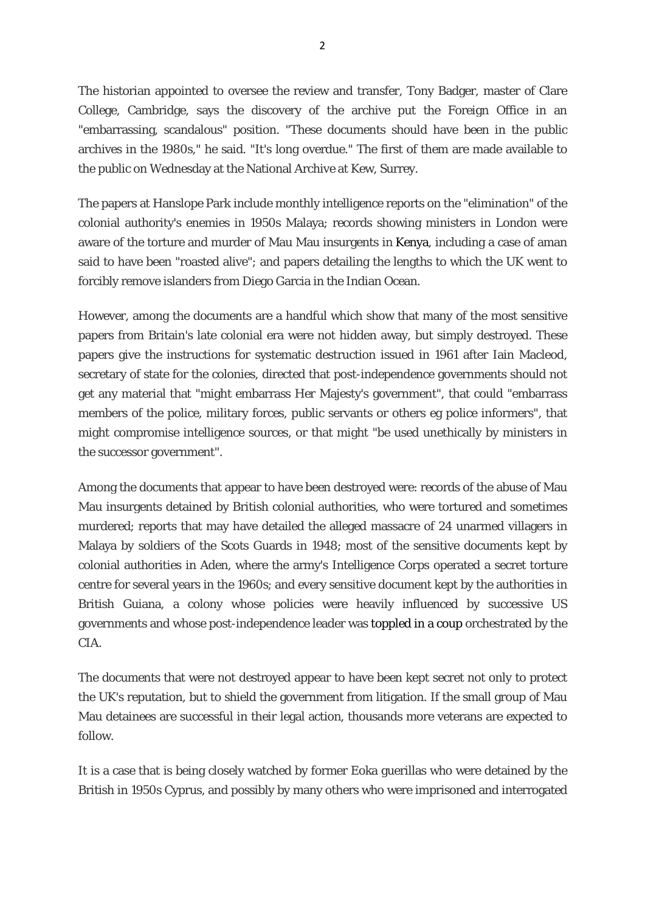The historian appointed to oversee the review and transfer, Tony Badger, master of Clare College, Cambridge, says the discovery of the archive put the Foreign Office in an "embarrassing, scandalous" position. "These documents should have been in the public archives in the 1980s," he said. "It's long overdue." The first of them are made available to the public on Wednesday at the National Archive at Kew, Surrey.

The papers at Hanslope Park include monthly intelligence reports on the "elimination" of the colonial authority's enemies in 1950s Malaya; records showing ministers in London were aware of the torture and murder of Mau Mau insurgents in Kenya, including a case of aman said to have been "roasted alive"; and papers detailing the lengths to which the UK went to forcibly remove islanders from Diego Garcia in the Indian Ocean.

However, among the documents are a handful which show that many of the most sensitive papers from Britain's late colonial era were not hidden away, but simply destroyed. These papers give the instructions for systematic destruction issued in 1961 after Iain Macleod, secretary of state for the colonies, directed that post-independence governments should not get any material that "might embarrass Her Majesty's government", that could "embarrass members of the police, military forces, public servants or others eg police informers", that might compromise intelligence sources, or that might "be used unethically by ministers in the successor government".

Among the documents that appear to have been destroyed were: records of the abuse of Mau Mau insurgents detained by British colonial authorities, who were tortured and sometimes murdered; reports that may have detailed the alleged massacre of 24 unarmed villagers in Malaya by soldiers of the Scots Guards in 1948; most of the sensitive documents kept by colonial authorities in Aden, where the army's Intelligence Corps operated a secret torture centre for several years in the 1960s; and every sensitive document kept by the authorities in British Guiana, a colony whose policies were heavily influenced by successive US governments and whose post-independence leader was toppled in a coup orchestrated by the CIA.

The documents that were not destroyed appear to have been kept secret not only to protect the UK's reputation, but to shield the government from litigation. If the small group of Mau Mau detainees are successful in their legal action, thousands more veterans are expected to follow.

It is a case that is being closely watched by former Eoka guerillas who were detained by the British in 1950s Cyprus, and possibly by many others who were imprisoned and interrogated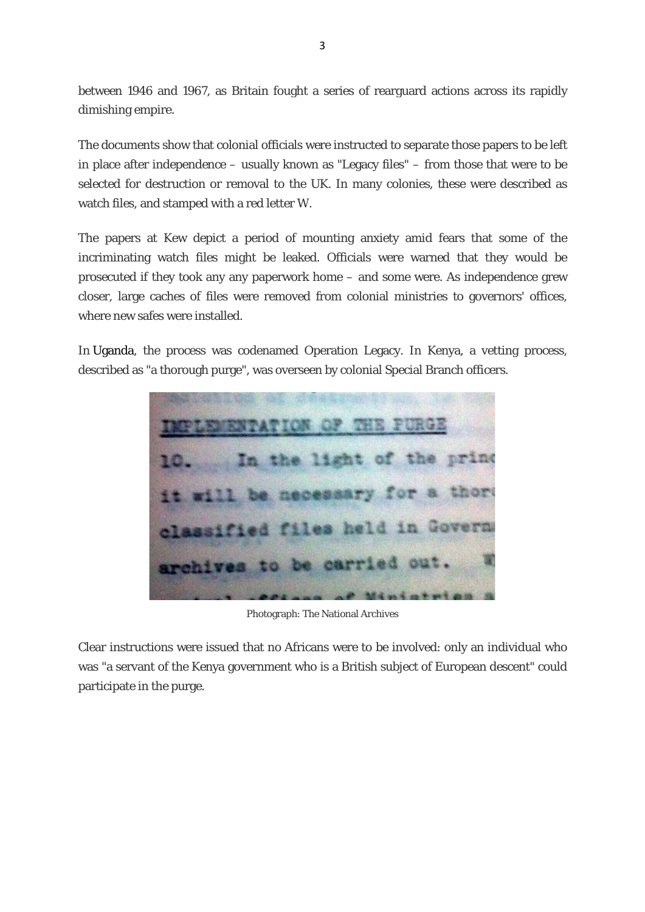between 1946 and 1967, as Britain fought a series of rearguard actions across its rapidly dimishing empire.

The documents show that colonial officials were instructed to separate those papers to be left in place after independence – usually known as "Legacy files" – from those that were to be selected for destruction or removal to the UK. In many colonies, these were described as watch files, and stamped with a red letter W.

The papers at Kew depict a period of mounting anxiety amid fears that some of the incriminating watch files might be leaked. Officials were warned that they would be prosecuted if they took any any paperwork home – and some were. As independence grew closer, large caches of files were removed from colonial ministries to governors' offices, where new safes were installed.

In Uganda, the process was codenamed Operation Legacy. In Kenya, a vetting process, described as "a thorough purge", was overseen by colonial Special Branch officers.



Photograph: The National Archives

Clear instructions were issued that no Africans were to be involved: only an individual who was "a servant of the Kenya government who is a British subject of European descent" could participate in the purge.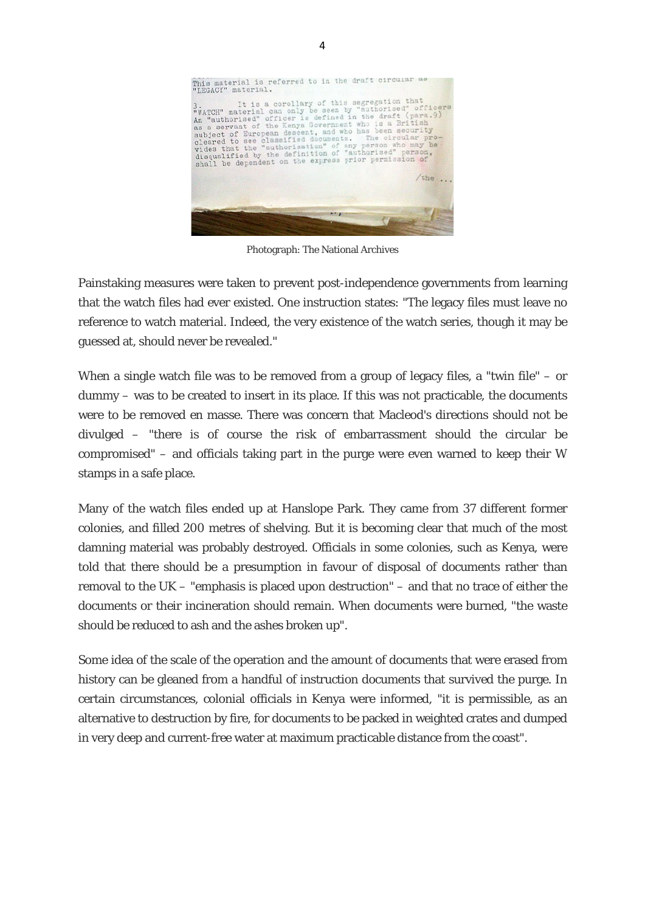

Photograph: The National Archives

Painstaking measures were taken to prevent post-independence governments from learning that the watch files had ever existed. One instruction states: "The legacy files must leave no reference to watch material. Indeed, the very existence of the watch series, though it may be guessed at, should never be revealed."

When a single watch file was to be removed from a group of legacy files, a "twin file" – or dummy – was to be created to insert in its place. If this was not practicable, the documents were to be removed en masse. There was concern that Macleod's directions should not be divulged – "there is of course the risk of embarrassment should the circular be compromised" – and officials taking part in the purge were even warned to keep their W stamps in a safe place.

Many of the watch files ended up at Hanslope Park. They came from 37 different former colonies, and filled 200 metres of shelving. But it is becoming clear that much of the most damning material was probably destroyed. Officials in some colonies, such as Kenya, were told that there should be a presumption in favour of disposal of documents rather than removal to the UK – "emphasis is placed upon destruction" – and that no trace of either the documents or their incineration should remain. When documents were burned, "the waste should be reduced to ash and the ashes broken up".

Some idea of the scale of the operation and the amount of documents that were erased from history can be gleaned from a handful of instruction documents that survived the purge. In certain circumstances, colonial officials in Kenya were informed, "it is permissible, as an alternative to destruction by fire, for documents to be packed in weighted crates and dumped in very deep and current-free water at maximum practicable distance from the coast".